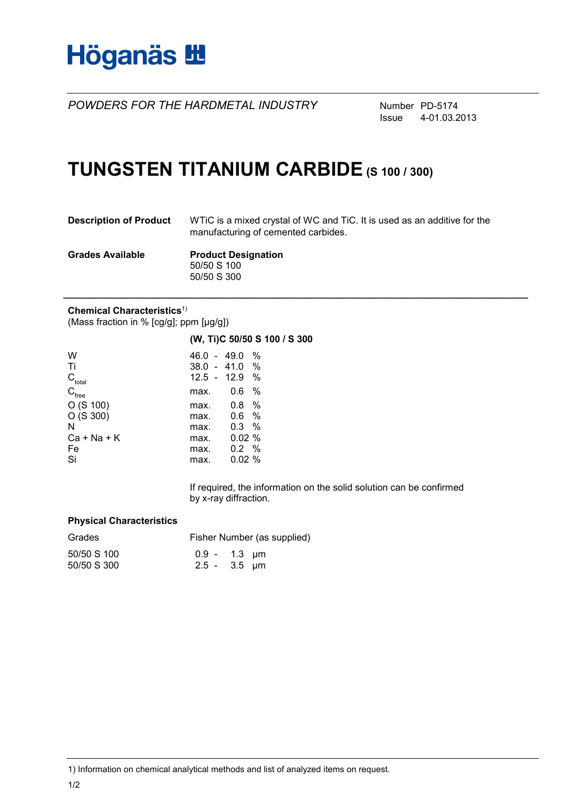

*POWDERS FOR THE HARDMETAL INDUSTRY* Number PD-5174

Issue 4-01.03.2013

## **TUNGSTEN TITANIUM CARBIDE (S 100 / 300)**

| <b>Description of Product</b> | WTIC is a mixed crystal of WC and TIC. It is used as an additive for the<br>manufacturing of cemented carbides. |
|-------------------------------|-----------------------------------------------------------------------------------------------------------------|
| <b>Grades Available</b>       | <b>Product Designation</b>                                                                                      |
|                               | 50/50 S 100                                                                                                     |
|                               | 50/50 S 300                                                                                                     |

**\_\_\_\_\_\_\_\_\_\_\_\_\_\_\_\_\_\_\_\_\_\_\_\_\_\_\_\_\_\_\_\_\_\_\_\_\_\_\_\_\_\_\_\_\_\_\_\_\_\_\_\_\_\_\_\_\_\_\_\_\_\_\_\_\_\_\_\_\_\_\_\_\_\_\_\_\_\_\_\_\_\_\_\_\_\_\_\_**

#### **Chemical Characteristics**1)

(Mass fraction in % [cg/g]; ppm [µg/g])

|                               |                      | (W, Ti)C 50/50 S 100 / S 300 |  |
|-------------------------------|----------------------|------------------------------|--|
| W                             | $46.0 - 49.0 %$      |                              |  |
| Τi                            | 38.0 - 41.0 %        |                              |  |
| $\mathsf{C}_{\textsf{total}}$ | 12.5 - 12.9 %        |                              |  |
| $C_{\text{free}}$             | 0.6%<br>max.         |                              |  |
| O(S 100)                      | 0.8%<br>max.         |                              |  |
| O(S300)                       | 0.6 %<br>max.        |                              |  |
| N                             | $0.3\%$<br>max.      |                              |  |
| $Ca + Na + K$                 | 0.02%<br>max.        |                              |  |
| Fe                            | $0.2 \gamma$<br>max. |                              |  |
| Si                            | 0.02%<br>max.        |                              |  |
|                               |                      |                              |  |

If required, the information on the solid solution can be confirmed by x-ray diffraction.

#### **Physical Characteristics**

| Grades      | Fisher Number (as supplied) |  |  |
|-------------|-----------------------------|--|--|
| 50/50 S 100 | $0.9 - 1.3 \mu m$           |  |  |
| 50/50 S 300 | $2.5 - 3.5$ µm              |  |  |

1) Information on chemical analytical methods and list of analyzed items on request.